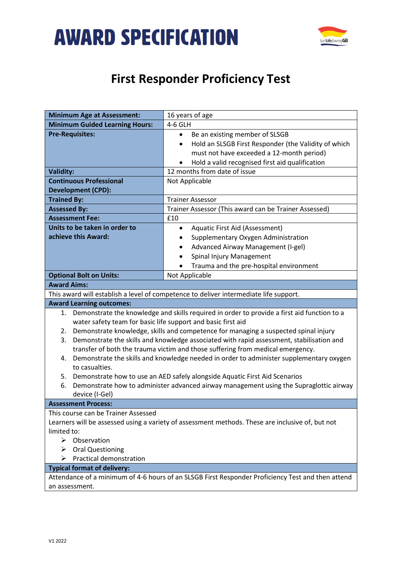



## **First Responder Proficiency Test**

| <b>Minimum Age at Assessment:</b>                                                                 | 16 years of age                                                                          |
|---------------------------------------------------------------------------------------------------|------------------------------------------------------------------------------------------|
| <b>Minimum Guided Learning Hours:</b>                                                             | 4-6 GLH                                                                                  |
| <b>Pre-Requisites:</b>                                                                            | Be an existing member of SLSGB<br>$\bullet$                                              |
|                                                                                                   | Hold an SLSGB First Responder (the Validity of which<br>$\bullet$                        |
|                                                                                                   | must not have exceeded a 12-month period)                                                |
|                                                                                                   | Hold a valid recognised first aid qualification                                          |
| <b>Validity:</b>                                                                                  | 12 months from date of issue                                                             |
| <b>Continuous Professional</b>                                                                    | Not Applicable                                                                           |
| <b>Development (CPD):</b>                                                                         |                                                                                          |
| <b>Trained By:</b>                                                                                | <b>Trainer Assessor</b>                                                                  |
| <b>Assessed By:</b>                                                                               | Trainer Assessor (This award can be Trainer Assessed)                                    |
| <b>Assessment Fee:</b>                                                                            | £10                                                                                      |
| Units to be taken in order to                                                                     | Aquatic First Aid (Assessment)<br>٠                                                      |
| achieve this Award:                                                                               | Supplementary Oxygen Administration                                                      |
|                                                                                                   | Advanced Airway Management (I-gel)                                                       |
|                                                                                                   | Spinal Injury Management                                                                 |
|                                                                                                   | Trauma and the pre-hospital environment                                                  |
| <b>Optional Bolt on Units:</b>                                                                    | Not Applicable                                                                           |
| <b>Award Aims:</b>                                                                                |                                                                                          |
| This award will establish a level of competence to deliver intermediate life support.             |                                                                                          |
| <b>Award Learning outcomes:</b>                                                                   |                                                                                          |
| Demonstrate the knowledge and skills required in order to provide a first aid function to a<br>1. |                                                                                          |
| water safety team for basic life support and basic first aid                                      |                                                                                          |
| 2.                                                                                                | Demonstrate knowledge, skills and competence for managing a suspected spinal injury      |
| 3.                                                                                                | Demonstrate the skills and knowledge associated with rapid assessment, stabilisation and |
|                                                                                                   | transfer of both the trauma victim and those suffering from medical emergency.           |
| 4.                                                                                                | Demonstrate the skills and knowledge needed in order to administer supplementary oxygen  |
| to casualties.                                                                                    |                                                                                          |
| 5. Demonstrate how to use an AED safely alongside Aquatic First Aid Scenarios                     |                                                                                          |
| Demonstrate how to administer advanced airway management using the Supraglottic airway<br>6.      |                                                                                          |
| device (I-Gel)                                                                                    |                                                                                          |
| <b>Assessment Process:</b>                                                                        |                                                                                          |
| This course can be Trainer Assessed                                                               |                                                                                          |
| Learners will be assessed using a variety of assessment methods. These are inclusive of, but not  |                                                                                          |
| limited to:                                                                                       |                                                                                          |
| $\triangleright$ Observation                                                                      |                                                                                          |
| <b>Oral Questioning</b>                                                                           |                                                                                          |
| Practical demonstration<br>➤                                                                      |                                                                                          |
| <b>Typical format of delivery:</b>                                                                |                                                                                          |
| Attendance of a minimum of 4-6 hours of an SLSGB First Responder Proficiency Test and then attend |                                                                                          |
| an assessment.                                                                                    |                                                                                          |